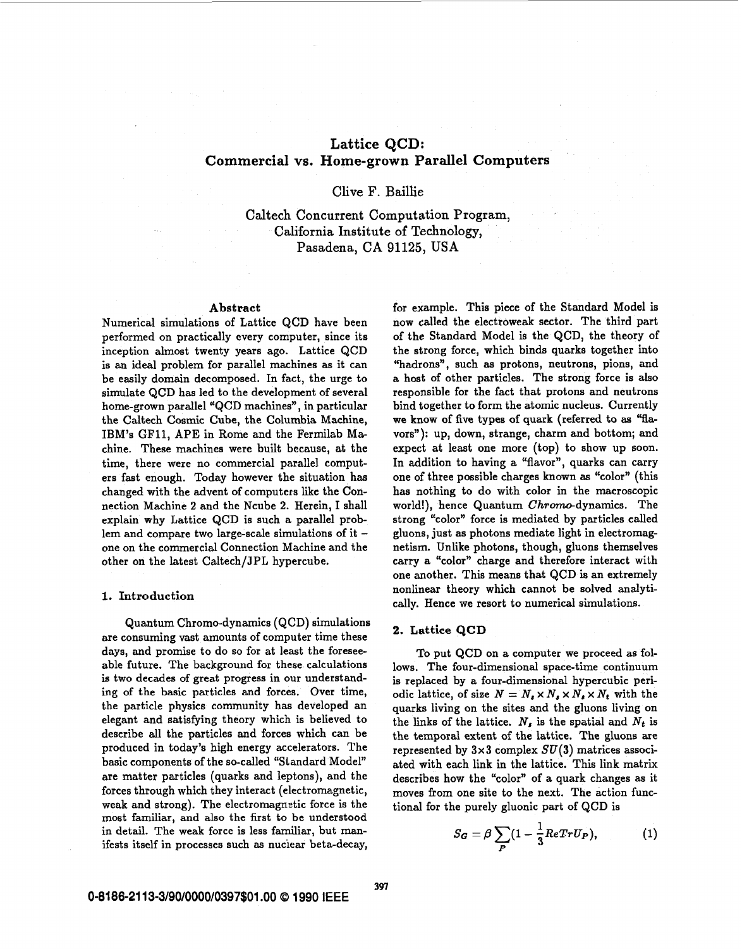# **Lattice QCD: Commercial vs. Home-grown Parallel Computers**

# Clive F. Baillie

Caltech Concurrent Computation Program, California Institute of Technology, Pasadena, CA 91125, **USA** 

#### Abstract

Numerical simulations of Lattice QCD have been performed on practically every computer, since its inception almost twenty years ago. Lattice QCD is **an** ideal problem for parallel machines as it can be easily domain decomposed. In fact, the urge to simulate QCD has led to the development of several home-grown parallel "QCD machines", in particular the Caltech Cosmic Cube, the Columbia Machine, IBM's **GF11,** APE in Rome and the Fermilab Machine. These machines were built because, at the time, there were no commercial parallel computers fast enough. Today however the situation has changed with the advent of computers like the Connection Machine 2 and the Ncube 2. Herein, I shall explain why Lattice QCD is such a parallel problem and compare two large-scale simulations of it one on the commercial Connection Machine and the other on the latest Caltech/JPL hypercube.

#### **1. Introduction**

Quantum Chromo-dynamics (QCD) simulations are consuming vast amounts of computer time these days, and promise to do **so** for at least the foreseeable future. The background for these calculations is two decades of great progress in **our** understanding of the basic particles and forces. Over time, the particle physics community has developed an elegant and satisfying theory which is believed to describe all the particles and forces which can be produced in today's high energy accelerators. The basic components of the so-called "Standard Model" are matter particles (quarks and leptons), and the forces through which they interact (electromagnetic, weak and strong). The electromagnetic force is the most familiar, and also the first to be understood in detail. The weak force is less familiar, but manifests itself in processes such **as** nuciear beta-decay,

for example. This piece of the Standard Model is now called the electroweak sector. The third part of the Standard Model is the QCD, the theory of the strong force, which binds quarks together into "hadrons", such as protons, neutrons, pions, and a host of other particles. The strong force is also responsible for the fact that protons and neutrons bind together to form the atomic nucleus. Currently we **know of** five types of quark (referred to **as** "flavors"): up, down, strange, charm and bottom; and expect at least one more (top) to show up soon. In addition to having a "flavor", quarks can carry one of three possible charges known **as** "color" (this has nothing to do with color in the macroscopic world!), hence Quantum Chromo-dynamics. The strong "color" force is mediated by particles called gluons, just as photons mediate light in electromagnetism. Unlike photons, though, gluons themselves carry a "color" charge and therefore interact with one another. This means that QCD is an extremely nonlinear theory which cannot be solved analytically. Hence we resort to numerical simulations.

#### **2. Lattice QCD**

To put QCD on a computer we proceed **as** follows. The four-dimensional space-time continuum is replaced by a four-dimensional hypercubic periodic lattice, of size  $N = N_s \times N_s \times N_s \times N_t$  with the quarks living on the sites and the gluons living on the links of the lattice.  $N<sub>s</sub>$  is the spatial and  $N<sub>t</sub>$  is the temporal extent of the lattice. The gluons are represented by **3x3** complex **SU(3)** matrices associated with each link in the lattice. This link matrix describes how the "color" of a quark changes as it moves from one site to the next. The action functional for the purely gluonic part **of** QCD is

$$
S_G = \beta \sum_P (1 - \frac{1}{3} ReTr U_P), \qquad (1)
$$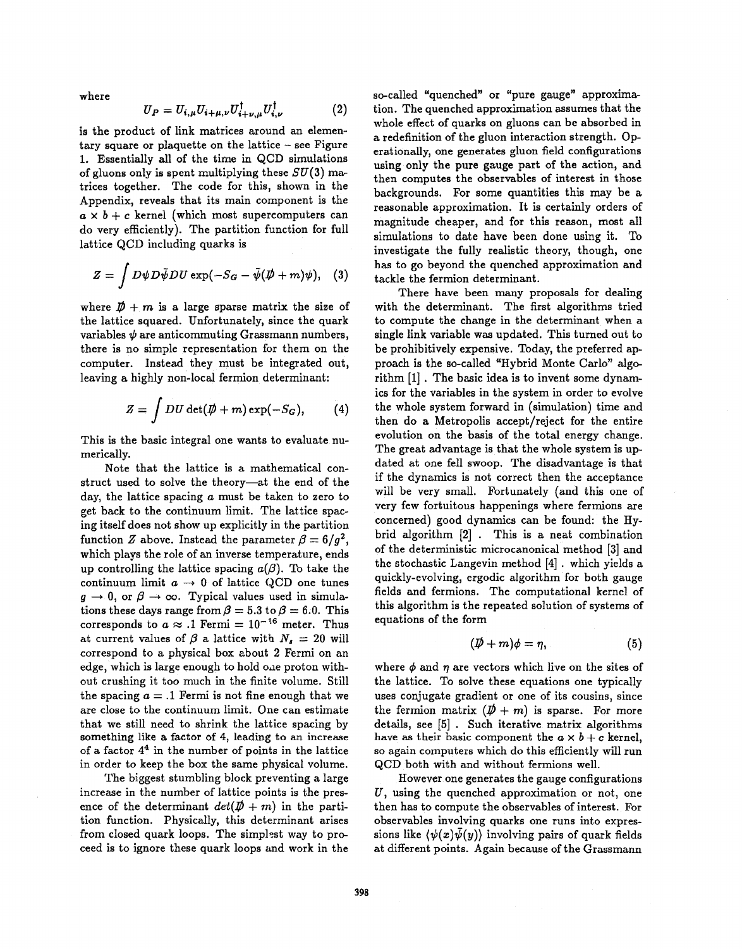where

$$
U_P = U_{i,\mu} U_{i+\mu,\nu} U_{i+\nu,\mu}^\dagger U_{i,\nu}^\dagger \tag{2}
$$

is the product of link matrices around an elementary square **or** plaquette on the lattice - see Figure 1. Essentially all of the time in QCD simulations of gluons only is spent multiplying these  $SU(3)$  matrices together. The code for this, shown in the Appendix, reveals that its main component **is** the  $a \times b + c$  kernel (which most supercomputers can do very efficiently). The partition function for full lattice QCD including quarks is

$$
Z = \int D\psi D\bar{\psi}DU \exp(-S_G - \bar{\psi}(\rlap{\,/}\psi + m)\psi), \quad (3)
$$

where  $\mathbf{D} + m$  is a large sparse matrix the size of the lattice squared. Unfortunately, since the quark variables  $\psi$  are anticommuting Grassmann numbers, there is no simple representation for them on the computer. Instead they must be integrated out, leaving a highly non-local fermion determinant:

$$
Z = \int DU \, \det(\not\!\!D + m) \exp(-S_G), \qquad (4)
$$

This is the basic integral one wants to evaluate numerically.

Note that the lattice is a mathematical construct used to solve the theory-at the end of the day, the lattice spacing *a* must be taken to zero to get back to the continuum limit. The lattice spacing itself does not show up explicitly in the partition function *Z* above. Instead the parameter  $\beta = 6/g^2$ , which plays the role of an inverse temperature, ends up controlling the lattice spacing  $a(\beta)$ . To take the continuum limit  $a \rightarrow 0$  of lattice QCD one tunes  $g \rightarrow 0$ , or  $\beta \rightarrow \infty$ . Typical values used in simulations these days range from  $\beta = 5.3$  to  $\beta = 6.0$ . This corresponds to  $a \approx .1$  Fermi =  $10^{-16}$  meter. Thus at current values of  $\beta$  **a** lattice with  $N_s = 20$  will correspond to a physical box about 2 Fermi on an edge, which is large enough to hold one proton without crushing it too much in the finite volume. Still the spacing  $a = 0$ .1 Fermi is not fine enough that we are close to the continuum limit. One can estimate that we still need to shrink the lattice spacing by something like a factor of **4,** leading to an increase of a factor **44** in the number of points in the lattice in order to keep the box the same physical volume.

The biggest stumbling block preventing a large increase in the number of lattice points is the presence of the determinant  $det(\mathbf{D} + m)$  in the partition function. Physically, this determinant arises from closed quark loops. The simplest way to proceed is to ignore these quark loops and work in the so-called "quenched" **or** "pure gauge" approximation. The quenched approximation assumes that the whole effect of quarks on gluons can be absorbed in a redefinition of the gluon interaction strength. **Op**erationally, one generates gluon field configurations using only the pure gauge part of the action, and then computes the observables of interest in those backgrounds. For some quantities this may be a reasonable approximation. It is certainly orders **of**  magnitude cheaper, and for this reason, most all simulations to date have been done using it. To investigate the fully realistic theory, though, one has to go beyond the quenched approximation and tackle the fermion determinant.

There have been many proposals for dealing with the determinant. The first algorithms tried to compute the change in the determinant when a single link variable was updated. This turned out to be prohibitively expensive. Today, the preferred approach is the so-called "Hybrid Monte Carlo" alp rithm [l] . The basic idea **is** to invent some dynamics **for** the variables in the system in order to evolve the whole system forward in (simulation) time and then do **a** Metropolis accept/reject for the entire evolution on the basis of the total energy change. The great advantage is that the whole system is updated at one fell swoop. The disadvantage is that if the dynamics is not correct then the acceptance will be very small. Fortunately (and this one of very few fortuitous happenings where fermions are concerned) good dynamics can be found: the Hybrid algorithm **[2]** . This is a neat combination of the deterministic microcanonical method **[3]** and the stochastic Langevin method **[4]** . which yields a quickly-evolving, ergodic algorithm for both gauge fields and fermions. The computational kernel of this algorithm is the repeated solution of systems of equations of the form

$$
(\not \!\! D + m)\phi = \eta,\tag{5}
$$

where  $\phi$  and  $\eta$  are vectors which live on the sites of the lattice. To solve these equations one typically uses conjugate gradient **or** one of its cousins, since the fermion matrix  $(\not{D} + m)$  is sparse. For more details, see *[5]* . Such iterative matrix algorithms have as their basic component the  $a \times b + c$  kernel, *so* again computers which do this efficiently will run QCD both with and without fermions well.

However one generates the gauge configurations *U,* using the quenched approximation **or** not, one then has to compute the observables of interest. For observables involving quarks one runs into expressions like  $\langle \psi(x)\psi(y)\rangle$  involving pairs of quark fields at different points. Again because of the Grassmann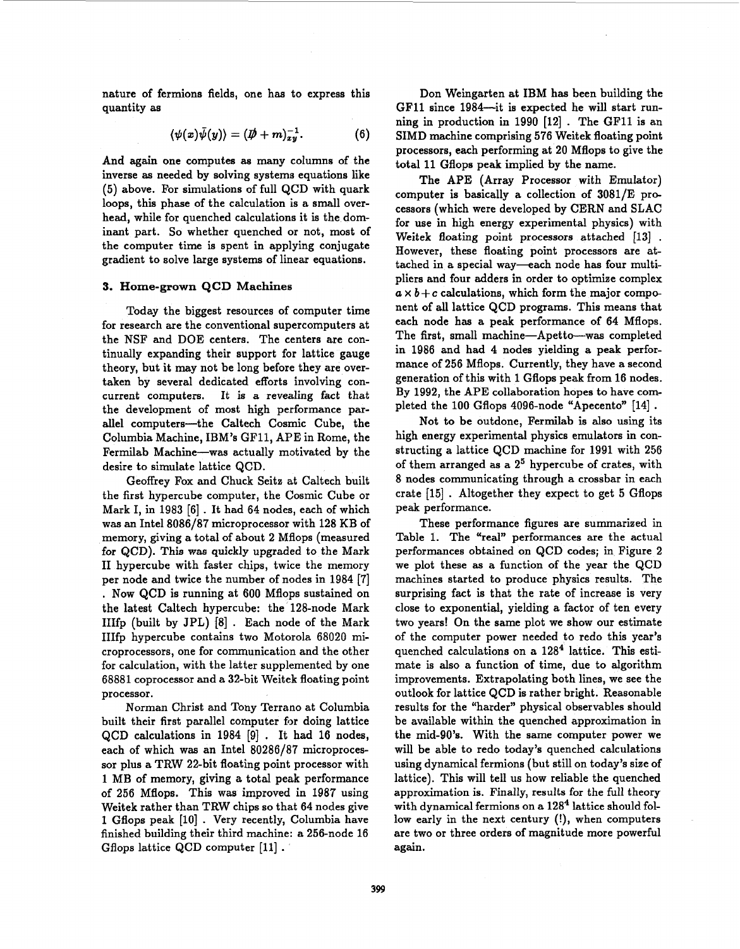nature of fermions fields, one has to express this quantity as

$$
\langle \psi(x)\bar{\psi}(y)\rangle = (\not{D} + m)^{-1}_{xy}.
$$
 (6)

And again one computes **as** many columns of the inverse **as** needed by solving systems equations like (5) above. For simulations of full QCD with quark loops, this phase of the calculation **is** a small overhead, while for quenched calculations it is the dominant part. So whether quenched **or** not, most **of**  the computer time is spent in applying conjugate gradient to solve large systems of linear equations.

#### **3. Home-grown** QCD **Machines**

Today the biggest resources of computer time for research are the conventional supercomputers at the NSF and DOE centers. The centers are continually expanding their support for lattice gauge theory, but it may not be long before they are overtaken by several dedicated efforts involving concurrent computers. It is a revealing fact that the development of most high performance parallel computers-the Caltech Cosmic Cube, the Columbia Machine, IBM's GF11, APE in Rome, the Fermilab Machine-was actually motivated by the desire to simulate lattice QCD.

Geoffrey Fox and Chuck Seitz at Caltech built the first hypercube computer, the Cosmic Cube **or**  Mark I, in 1983 [6] . It had 64 nodes, each of which was an Intel 8086/87 microprocessor with 128 KB of memory, giving a total of about 2 Mflops (measured for QCD). This was quickly upgraded to the Mark I1 hypercube with faster chips, twice the memory per node and twice the number of nodes in 1984 [7] . Now QCD is running at 600 Mflops sustained on the latest Caltech hypercube: the 128-node Mark IIIfp (built by JPL) [8] . Each node of the Mark IIIfp hypercube contains two Motorola 68020 microprocessors, one for communication and the other for calculation, with the latter supplemented by one 68881 coprocessor and a 32-bit Weitek floating point processor.

Norman Christ and Tony Terrano at Columbia built their first parallel computer for doing lattice QCD calculations in  $1984$  [9]. It had 16 nodes, each of which was an Intel 80286/87 microproces**sor** plus a TRW 22-bit floating point processor with 1 MB of memory, giving a total peak performance of 256 Mflops. This was improved in 1987 using Weitek rather than TRW chips **so** that 64 nodes give 1 Gflops peak [lo] . Very recently, Columbia have finished building their third machine: a 256-node 16 Gflops lattice QCD computer [ll] .

Don Weingarten at IBM has been building the GFll since 1984-it is expected he will start running in production in 1990 [12] . The GFll is an SIMD machine comprising 576 Weitek floating point processors, each performing at 20 Mflops to give the total 11 Gflops peak implied by the name.

The APE (Array Processor with Emulator) computer is basically a collection of 3081/E processors (which were developed by CERN and SLAC for use in high energy experimental physics) with Weitek floating point processors attached [13] . However, these floating point processors are attached in a special way-each node has four multipliers and four adders in order to optimize complex  $a \times b + c$  calculations, which form the major component of all lattice QCD programs. This means that each node has a peak performance of 64 Mflops. The first, small machine-Apetto-was completed in 1986 and had 4 nodes yielding a peak performance of 256 Mflops. Currently, they have a second generation of this with 1 Gflops peak from 16 nodes. By 1992, the APE collaboration hopes to have completed the 100 Gflops 4096-node "Apecento" [14] .

Not to be outdone, Fermilab is also using its high energy experimental physics emulators in constructing a lattice QCD machine for 1991 with 256 of them arranged as a  $2^5$  hypercube of crates, with 8 nodes communicating through a crossbar in each crate [15] . Altogether they expect to get *5* Gflops peak performance.

These performance figures are summarized in [Table 1.](#page-3-0) The "real" performances are the actual performances obtained on QCD codes; in [Figure 2](#page-7-0) we plot these as a function of the year the QCD machines started to produce physics results. The surprising fact is that the rate of increase is very close to exponential, yielding a factor of ten every two years! On the same plot we show **our** estimate of the computer power needed to redo this year's quenched calculations on a  $128<sup>4</sup>$  lattice. This estimate is also a function of time, due to algorithm improvements. Extrapolating both lines, we see the outlook for lattice QCD is rather bright. Reasonable results for the "harder" physical observables should be available within the quenched approximation in the mid-90's. With the same computer power we will be able to redo today's quenched calculations using dynamical fermions (but still on today's size of lattice). This will tell us how reliable the quenched approximation is. Finally, **results for** the full theory with dynamical fermions on a  $128<sup>4</sup>$  lattice should follow early in the next century (!), when computers are two **or** three orders of magnitude more powerful again.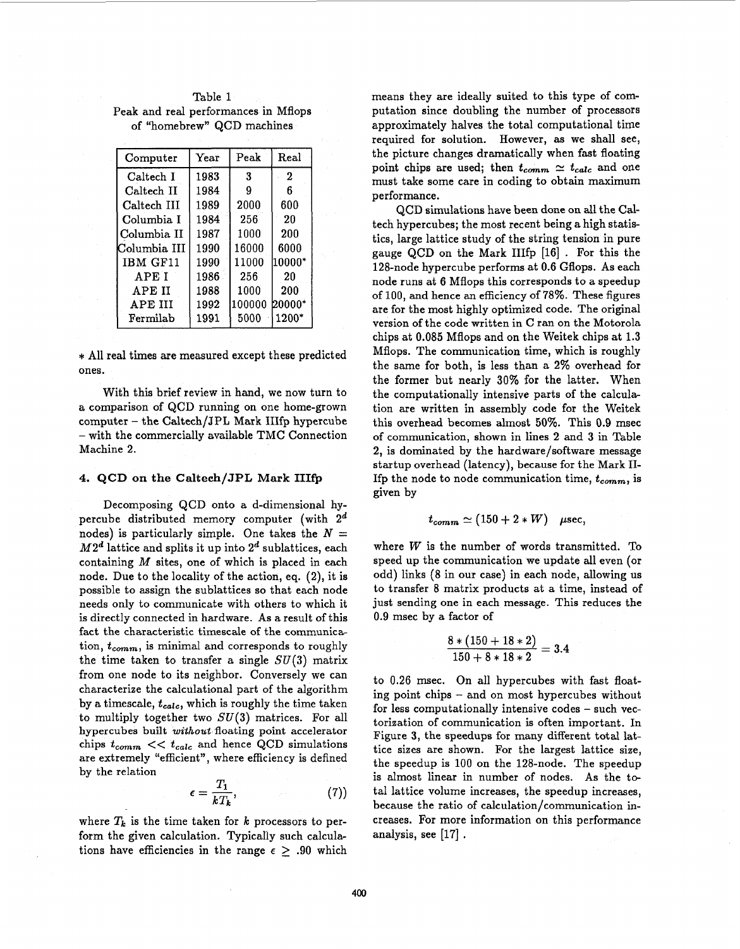| Computer         | $\operatorname{Year}$ | Peak          | Real             |
|------------------|-----------------------|---------------|------------------|
| Caltech I        | 1983                  | 3             | $\boldsymbol{2}$ |
| Caltech II       | 1984                  | 9             | 6                |
| Caltech III      | 1989                  | 2000          | 600              |
| Columbia I       | 1984                  | 256           | 20               |
| Columbia II      | 1987                  | 1000          | 200              |
| Columbia III     | 1990                  | 16000         | 6000             |
| IBM GF11         | 1990                  | 11000         | l10000*          |
| <b>APET</b>      | 1986                  | 256           | 20               |
| APE II           | 1988                  | 1000          | 200              |
| APE III          | 1992                  | 100000 20000* |                  |
| ${\rm Fermilab}$ | 1991                  | 5000          | 1200*            |

<span id="page-3-0"></span>Table 1 Peak and real performances in Mflops of "homebrew" QCD machines

\* All real times are measured except these predicted ones.

With this brief review in hand, we now turn to a comparison of QCD running on one home-grown computer - the Caltech/JPL Mark IIIfp hypercube - with the commercially available TMC Connection Machine 2.

#### **4. QCD on the Caltech/JPL Mark IIIfp**

Decomposing QCD onto a d-dimensional hypercube distributed memory computer (with *2d*  nodes) is particularly simple. One takes the  $N =$  $M2<sup>d</sup>$  lattice and splits it up into  $2<sup>d</sup>$  sublattices, each containing M sites, one of which **is** placed in each node. Due to the locality of the action, eq. (2), it is possible to assign the sublattices **so** that each node needs only to communicate with others to which it is directly connected in hardware. **As** a result of this fact the characteristic timescale of the communica tion,  $t_{comm}$ , is minimal and corresponds to roughly the time taken to transfer a single  $SU(3)$  matrix from one node to its neighbor. Conversely we can characterize the calculational part of the algorithm by a timescale,  $t_{calc}$ , which is roughly the time taken to multiply together two  $SU(3)$  matrices. For all hypercubes built *without* floating point accelerator chips  $t_{comm} \ll t_{calc}$  and hence QCD simulations are extremely "efficient", where efficiency is defined by the relation *<sup>m</sup>*

$$
\epsilon = \frac{T_1}{kT_k},\tag{7}
$$

where  $T_k$  is the time taken for  $k$  processors to perform the given calculation. Typically such calculations have efficiencies in the range  $\epsilon \geq .90$  which means they are ideally suited to this type of computation since doubling the number of processors approximately halves the total computational time required for solution. However, as we shall see, the picture changes dramatically when fast floating point chips are used; then  $t_{comm} \simeq t_{calc}$  and one must take some care in coding to obtain maximum performance.

QCD simulations have been done on all the Caltech hypercubes; the most recent being a high statistics, large lattice study of the string tension in pure gauge QCD on the Mark IIIfp [16] . For this the 128-node hypercube performs at 0.6 Gflops. As each node runs at 6 Mflops this corresponds to a speedup of 100, and hence an efficiency of 78%. These figures are **for** the most highly optimized code. The original version of the code written in C ran on the Motorola chips at 0.085 Mflops and on the Weitek chips at 1.3 Mflops. The communication time, which is roughly the same for both, is less than a 2% overhead for the former but nearly 30% for the latter. When the computationally intensive parts of the calculation are written in assembly code for the Weitek this overhead becomes almost 50%. This 0.9 msec of communication, shown in lines 2 and **3** in Table 2, is dominated by the hardware/software message startup overhead (latency), because for the Mark II-If the node to node communication time,  $t_{comm}$ , is given by

$$
t_{comm}\simeq (150+2*W) \quad \mu \text{sec},
$$

where *W* is the number of words transmitted. To speed up the communication we update all even **(or**  odd) links (8 in our case) in each node, allowing **us**  to transfer 8 matrix products at a time, instead of just sending one in each message. This reduces the 0.9 msec by **a** factor of

$$
\frac{8*(150+18*2)}{150+8*18*2} = 3.4
$$

to 0.26 msec. On all hypercubes with fast floating point chips - and on most hypercubes without for less computationally intensive codes - such vectorization of communication is often important. In Figure 3, the speedups for many different total lattice sizes are shown. For the largest lattice size, the speedup is 100 on the 128-node. The speedup is almost linear in number of nodes. As the total lattice volume increases, the speedup increases, because the ratio of calculation/communication increases. For more information on this performance analysis, see [17] .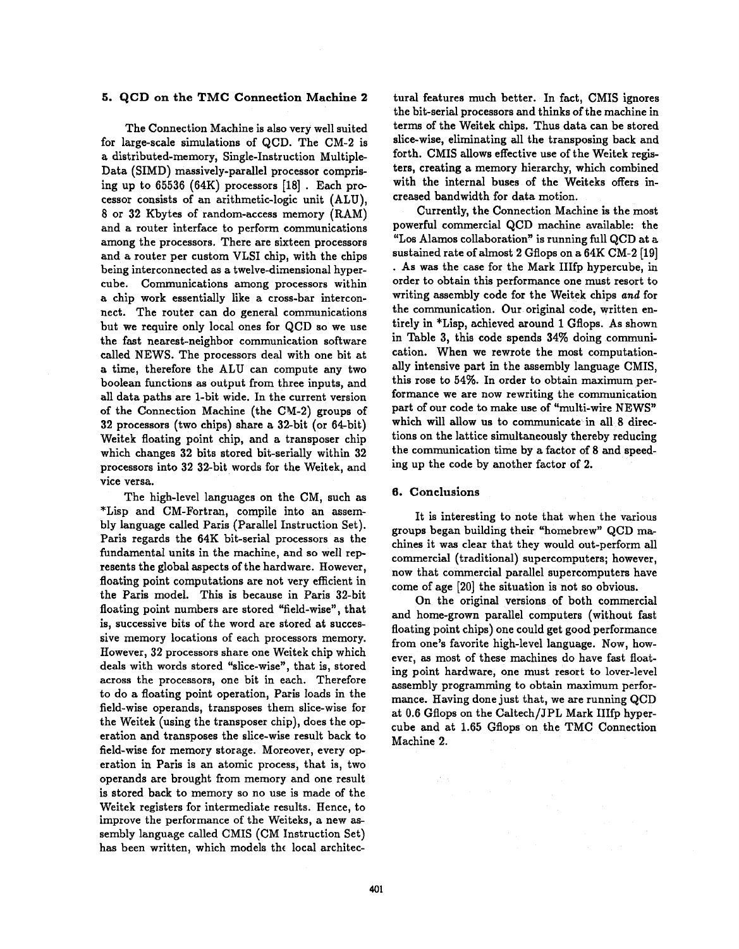#### **5. QCD on the TMC Connection Machine 2**

The Connection Machine is also very well suited for large-scale simulations of QCD. The CM-2 is a distributed-memory, Single-Instruction Multiple-Data (SIMD) massively-parallel processor comprising up to  $65536$   $(64K)$  processors  $[18]$ . Each processor consists of an arithmetic-logic unit (ALU), 8 **or** 32 Kbytes of random-access memory (RAM) and a router interface to perform communications among the processors. There are sixteen processors and a router per custom VLSI chip, with the chips being interconnected as a twelve-dimensional hypercube. Communications among processors within a chip work essentially like a cross-bar interconnect. The router can do general communications but we require only local ones for QCD **so** we use the fast nearest-neighbor communication software called NEWS. The processors deal with one bit at a time, therefore the ALU can compute any two boolean functions as output from three inputs, and all data paths are 1-bit wide. In the current version of the Connection Machine (the CM-2) groups of 32 processors (two chips) share a 32-bit **(or** 64bit) Weitek floating point chip, and **a** transposer chip which changes 32 bits stored bit-serially within 32 processors into 32 32-bit words for the Weitek, and vice versa.

The high-level languages on the CM, such as \*Lisp and CM-Fortran, compile into an assembly language called Paris (Parallel Instruction Set). Paris regards the 64K bit-serial processors as the fundamental units in the machine, and **so** well represents the global aspects of the hardware. However, floating point computations are not very efficient in the Paris model. This is because in Paris 32-bit floating point numbers are stored "field-wise", that is, successive bits of the word are stored at successive memory locations of each processors memory. However, 32 processors share one Weitek chip which deals with words stored "slice-wise", that is, stored across the processors, one bit in each. Therefore to do a floating point operation, Paris loads in the field-wise operands, transposes them slice-wise for the Weitek (using the transposer chip), does the operation and transposes the slice-wise result back to field-wise for memory storage. Moreover, every operation in Paris is an atomic process, that is, two operands are brought from memory and one result is stored back to memory **so** no use is made of the Weitek registers for intermediate results. Hence, to improve the performance **of** the Weiteks, a new assembly language called CMIS (CM Instruction Set) has been written, which models the local architec-

tural features much better. In fact, CMIS ignores the bit-serial processors and thinks of the machine in terms of the Weitek chips. Thus data can be stored slice-wise, eliminating all the transposing back and forth. CMIS allows effective use of the Weitek registers, creating a memory hierarchy, which combined with the internal buses of the Weiteks offers increased bandwidth for data motion.

Currently, the Connection Machine is the most powerful commercial QCD machine available: the "Los Alamos collaboration" is running full QCD at a sustained rate of almost 2 Gflops on **a** 64K CM-2 **[19]**  . **As** was the case for the Mark IIIfp hypercube, in order to obtain this performance one must resort to writing assembly code for the Weitek chips *and* for the communication. **Our** original code, written entirely in \*Lisp, achieved around 1 Gflops. As shown in Table 3, this code spends 34% doing communication. When we rewrote the most computationally intensive part in the assembly language CMIS, this rose to 54%. In order to obtain maximum performance we are now rewriting the communication part of **our** code to make use of "multi-wire NEWS" which will allow us to communicate in all **8** directions on the lattice simultaneously thereby reducing the communication time by a factor of 8 and speeding up the code by another factor of 2.

### **6. Conclusions**

It is interesting to note that when the various groups began building their "homebrew" QCD **m&**  chines it was clear that they would out-perform all commercial (traditional) supercomputers; however, now that commercial parallel supercomputers have come of age [20] the situation is not **so** obvious.

On the original versions of both commercial and home-grown parallel computers (without fast floating point chips) one could get good performance from one's favorite high-level language. Now, however, **as** most of these machines do have fast floating point hardware, one must resort to lover-level assembly programming to obtain maximum performance. Having done just that, we are running QCD at 0.6 Gflops on the Caltech/JPL Mark IIIfp hypercube and at 1.65 Gflops on the TMC Connection Machine 2.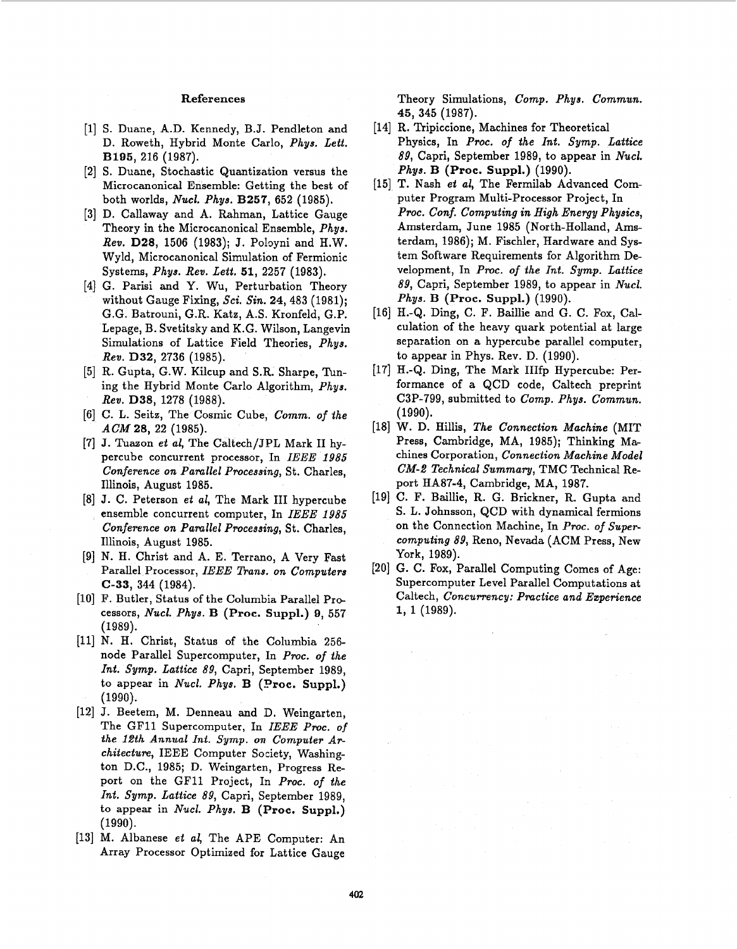## **References**

- [l] **S.** Duane, A.D. Kennedy, B.J. Pendleton and D. Roweth, Hybrid Monte Carlo, *Phys. Lett.*  B195, 216 (1987).
- [2] **S.** Duane, Stochastic Quantization versus the Microcanonical Ensemble: Getting the best of both worlds, *Nucl. Phys.* B257, 652 (1985).
- [3] **D.** Callaway and A. Rahman, Lattice Gauge Theory in the Microcanonical Ensemble, *Phys. Rev.* **D28,** 1506 (1983); J. Pobyni and H.W. Wyld, Microcanonical Simulation of Fermionic Systems, *Phys. Rev. Lett.* **51,** 2257 (1983).
- [4] G. Parisi and Y. Wu, Perturbation Theory without Gauge Fixing, *Sci. Sin.* 24,483 (1981); G.G. Batrouni, G.R. Katz, A.S. Kronfeld, G.P. Lepage, B. Svetitsky and K.G. Wilson, Langevin Simulations of Lattice Field Theories, *Phys. Rev.* **D32,** 2736 (1985).
- [5] R. Gupta, G.W. Kilcup and S.R. Sharpe, Tuning the Hybrid Monte Carlo Algorithm, *Phys. Rev.* **D38,** 1278 (1988).
- [6] C. L. Seitz, The Cosmic Cube, *Comm. of the ACM* **28,** 22 (1985).
- [7] J. Tuazon *et al*, The Caltech/JPL Mark II hypercube concurrent processor, In *IEEE 1985 Conference on Parallel Processing,* St. Charles, Illinois, August 1985.
- [8] J. C. Peterson *et al*, The Mark III hypercube ensemble concurrent computer, In *IEEE 1985 Conference on Parallel Processing, St. Charles,* Illinois, August 1985.
- [9] N. H. Christ and **A.** E. Terrano, A Very Fast Parallel Processor, *IEEE Trans. on Computers* **C-33,** 344 (1984).
- [lo] F. Butler, Status of the Columbia Parallel Processors, *Nucl. Phys.* **B (Proc. Suppl.) 9,** 557 (1989).
- [ll] N. H. Christ, Status of the Columbia 256 node Parallel Supercomputer, In *Proc. of the Int. Symp. Lattice 89,* Capri, September 1989, to appear in *Nucl. Phys.* **B (Droc. Suppl.)**  (1990).
- [12] J. Beetem, M. Denneau and D. Weingarten, The GF11 Supercomputer, In *IEEE Proc. of the 12th Annual Int. Symp. on Computer ATchitecture,* IEEE Computer Society, Washington D.C., 1985; D. Weingarten, Progress Report on the GF11 Project, In *Proc. of the Int. Symp. Lattice 89,* Capri, September 1989, to appear in *Nucl. Phys.* B **(Proc. Suppl.)**  (1990).
- [13] M. Albanese *et al,* The APE Computer: An Array Processor Optimized for Lattice Gauge

Theory Simulations, *Comp. Phys. Commun.*  45, 345 (1987).

- Physics, In *PTOC. of the Int. Symp. Lattice 89,* Capri, September 1989, to appear in *Nucl. Phys.* **B (Proc. Suppl.)** (1990). [14] **R.** Tripiccione, Machines for Theoretical
- [15] T. Nash *et al*, The Fermilab Advanced Computer Program Multi-Processor Project, In *Proc. Conf. Computing in High Energy Physics,* Amsterdam, June 1985 (North-Holland, Amsterdam, 1986); **M.** Fischler, Hardware and System Software Requirements for Algorithm Development, In *PTOC. of the Int. Symp. Lattice 89,* Capri, September 1989, to appear in *Nucl. Phys.* **B (Proc. Suppl.)** (1990).
- **[16]** H.-Q. Ding, C. F. Baillie and *G.* C. Fox, Calculation of the heavy quark potential at large separation on a hypercube parallel computer, to appear in Phys. Rev. D. (1990).
- 1171 H.-Q. Ding, The Mark IIIfp Hypercube: Performance of a QCD code, Caltech preprint C3P-799, submitted to *Comp. Phys. Commun.*  (1990).
- [18] **W. D.** Hillis, *The Connection Machine* (MIT Press, Cambridge, MA, 1985); Thinking Ma chines Corporation, *Connection Machine Model CM-2 Technical Summary,* TMC Technical Report **HA87-4,** Cambridge, MA, 1987.
- [19] C. F. Baillie, R. G. Brickner, R. Gupta and S. L. Johnsson, QCD with dynamical fermions on the Connection Machine, In *Proc. of Supercomputing 89,* Reno, Nevada (ACM Press, New York, 1989).
- [20] G. C. Fox, Parallel Computing Comes of Age: Supercomputer Level Parallel Computations at Caltech, *Concunency: Practice and Ezperience 1,* l(1989).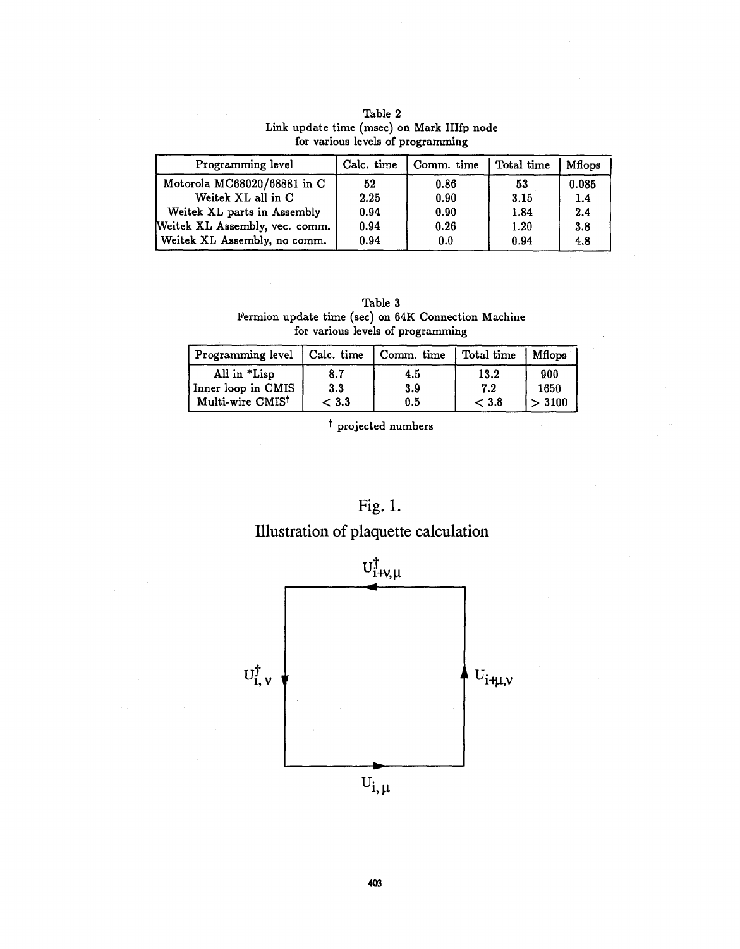| Programming level              | Calc. time | Comm. time | Total time | Mflops |
|--------------------------------|------------|------------|------------|--------|
| Motorola MC68020/68881 in C    | 52         | 0.86       | 53         | 0.085  |
| Weitek XL all in C             | 2.25       | 0.90       | 3.15       | 1.4    |
| Weitek XL parts in Assembly    | 0.94       | 0.90       | 1.84       | 2.4    |
| Weitek XL Assembly, vec. comm. | 0.94       | 0.26       | 1.20       | 3.8    |
| Weitek XL Assembly, no comm.   | 0.94       | 0.0        | 0.94       | 4.8    |

Table 2 Link update time (msec) on Mark IIIfp node for various levels of programming

Table 3 Fermion update time (sec) on 64K Connection Machine for various levels of programming

| Programming level   Calc. time |       | Comm. time | Total time | Mflops |
|--------------------------------|-------|------------|------------|--------|
| All in *Lisp                   | 8.7   | 4.5        | 13.2       | 900    |
| Inner loop in CMIS             | 3.3   | 3.9        | 7.2        | 1650   |
| Multi-wire CMIS <sup>t</sup>   | < 3.3 | 0.5        | < 3.8      | > 3100 |

<sup>t</sup> projected numbers



# Illustration of plaquette calculation

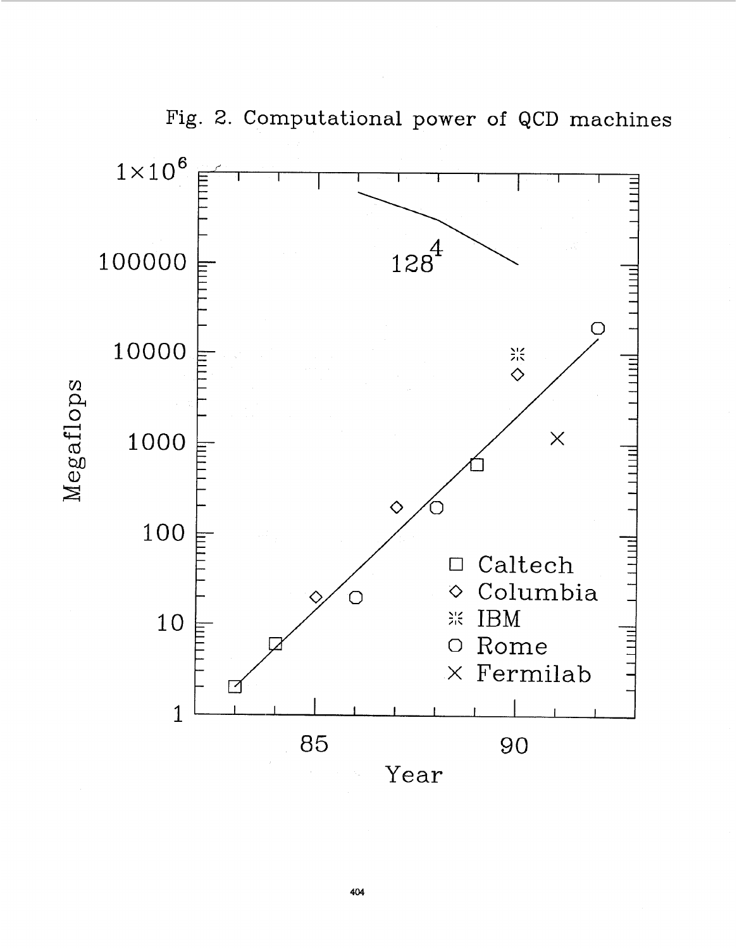<span id="page-7-0"></span>

Fig. 2. Computational power of QCD machines

**404**